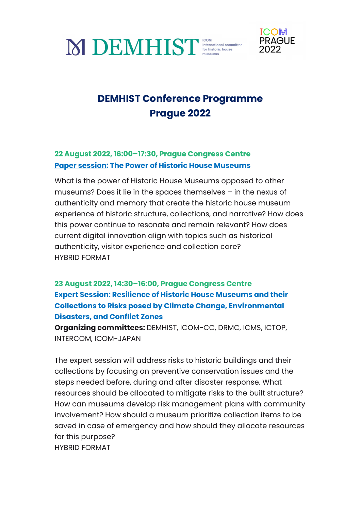



# **DEMHIST Conference Programme Prague 2022**

#### **22 August 2022, 16:00–17:30, Prague Congress Centre Paper session: The Power of Historic House Museums**

What is the power of Historic House Museums opposed to other museums? Does it lie in the spaces themselves – in the nexus of authenticity and memory that create the historic house museum experience of historic structure, collections, and narrative? How does this power continue to resonate and remain relevant? How does current digital innovation align with topics such as historical authenticity, visitor experience and collection care? HYBRID FORMAT

### **23 August 2022, 14:30–16:00, Prague Congress Centre Expert Session: Resilience of Historic House Museums and their Collections to Risks posed by Climate Change, Environmental Disasters, and Conflict Zones**

**Organizing committees:** DEMHIST, ICOM-CC, DRMC, ICMS, ICTOP, INTERCOM, ICOM-JAPAN

The expert session will address risks to historic buildings and their collections by focusing on preventive conservation issues and the steps needed before, during and after disaster response. What resources should be allocated to mitigate risks to the built structure? How can museums develop risk management plans with community involvement? How should a museum prioritize collection items to be saved in case of emergency and how should they allocate resources for this purpose? HYBRID FORMAT